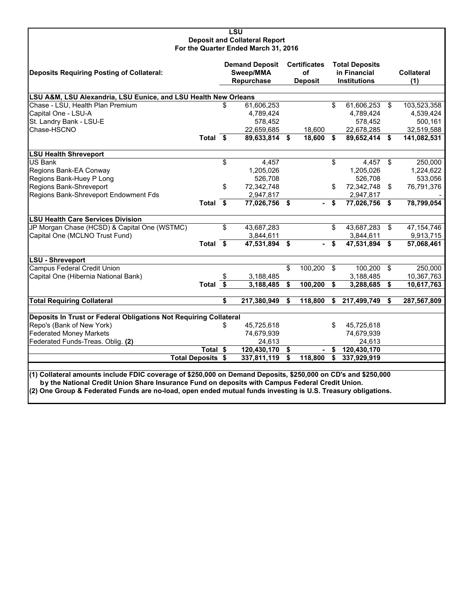| LSU                                  |
|--------------------------------------|
| <b>Deposit and Collateral Report</b> |
| For the Quarter Ended March 31, 2016 |

| <b>Deposits Requiring Posting of Collateral:</b>                  |                                                                                                               |    | <b>Demand Deposit</b><br>Sweep/MMA<br>Repurchase |    | <b>Certificates</b><br><b>of</b><br><b>Deposit</b> |    | <b>Total Deposits</b><br>in Financial<br><b>Institutions</b> |    | <b>Collateral</b><br>(1) |  |  |
|-------------------------------------------------------------------|---------------------------------------------------------------------------------------------------------------|----|--------------------------------------------------|----|----------------------------------------------------|----|--------------------------------------------------------------|----|--------------------------|--|--|
| LSU A&M, LSU Alexandria, LSU Eunice, and LSU Health New Orleans   |                                                                                                               |    |                                                  |    |                                                    |    |                                                              |    |                          |  |  |
| Chase - LSU, Health Plan Premium                                  |                                                                                                               |    | 61,606,253                                       |    |                                                    | \$ | 61,606,253 \$                                                |    | 103,523,358              |  |  |
| Capital One - LSU-A                                               |                                                                                                               |    | 4,789,424                                        |    |                                                    |    | 4,789,424                                                    |    | 4,539,424                |  |  |
| St. Landry Bank - LSU-E                                           |                                                                                                               |    | 578,452                                          |    |                                                    |    | 578,452                                                      |    | 500,161                  |  |  |
| Chase-HSCNO                                                       |                                                                                                               |    | 22,659,685                                       |    | 18,600                                             |    | 22,678,285                                                   |    | 32,519,588               |  |  |
|                                                                   | Total \$                                                                                                      |    | 89,633,814 \$                                    |    | 18,600 \$                                          |    | 89,652,414 \$                                                |    | 141,082,531              |  |  |
| <b>LSU Health Shreveport</b>                                      |                                                                                                               |    |                                                  |    |                                                    |    |                                                              |    |                          |  |  |
| <b>US Bank</b>                                                    |                                                                                                               | \$ | 4,457                                            |    |                                                    | \$ | 4,457                                                        | \$ | 250,000                  |  |  |
| Regions Bank-EA Conway                                            |                                                                                                               |    | 1,205,026                                        |    |                                                    |    | 1,205,026                                                    |    | 1,224,622                |  |  |
| Regions Bank-Huey P Long                                          |                                                                                                               |    | 526.708                                          |    |                                                    |    | 526.708                                                      |    | 533,056                  |  |  |
| Regions Bank-Shreveport                                           |                                                                                                               | \$ | 72,342,748                                       |    |                                                    | \$ | 72,342,748 \$                                                |    | 76,791,376               |  |  |
| Regions Bank-Shreveport Endowment Fds                             |                                                                                                               |    | 2,947,817                                        |    |                                                    |    | 2,947,817                                                    |    |                          |  |  |
|                                                                   | Total \$                                                                                                      |    | 77,026,756 \$                                    |    | $\blacksquare$                                     | \$ | 77,026,756 \$                                                |    | 78,799,054               |  |  |
| <b>LSU Health Care Services Division</b>                          |                                                                                                               |    |                                                  |    |                                                    |    |                                                              |    |                          |  |  |
| JP Morgan Chase (HCSD) & Capital One (WSTMC)                      |                                                                                                               | \$ | 43,687,283                                       |    |                                                    | \$ | 43,687,283                                                   | \$ | 47, 154, 746             |  |  |
| Capital One (MCLNO Trust Fund)                                    |                                                                                                               |    | 3,844,611                                        |    |                                                    |    | 3,844,611                                                    |    | 9,913,715                |  |  |
|                                                                   | Total \$                                                                                                      |    | $47,531,894$ \$                                  |    | $\blacksquare$                                     | \$ | 47,531,894 \$                                                |    | 57,068,461               |  |  |
| <b>LSU - Shreveport</b>                                           |                                                                                                               |    |                                                  |    |                                                    |    |                                                              |    |                          |  |  |
| <b>Campus Federal Credit Union</b>                                |                                                                                                               |    |                                                  | \$ | 100,200 \$                                         |    | 100,200 \$                                                   |    | 250,000                  |  |  |
| Capital One (Hibernia National Bank)                              |                                                                                                               |    | 3,188,485                                        |    |                                                    |    | 3,188,485                                                    |    | 10,367,763               |  |  |
|                                                                   | Total $\overline{\$}$                                                                                         |    | 3,188,485                                        | \$ | 100,200                                            | \$ | 3,288,685                                                    | \$ | 10,617,763               |  |  |
| <b>Total Requiring Collateral</b>                                 |                                                                                                               | \$ | 217,380,949                                      | Ŝ. | 118,800                                            | \$ | 217,499,749                                                  | \$ | 287,567,809              |  |  |
| Deposits In Trust or Federal Obligations Not Requiring Collateral |                                                                                                               |    |                                                  |    |                                                    |    |                                                              |    |                          |  |  |
| Repo's (Bank of New York)                                         |                                                                                                               | \$ | 45,725,618                                       |    |                                                    | \$ | 45,725,618                                                   |    |                          |  |  |
| <b>Federated Money Markets</b>                                    |                                                                                                               |    | 74,679,939                                       |    |                                                    |    | 74,679,939                                                   |    |                          |  |  |
| Federated Funds-Treas. Oblig. (2)                                 |                                                                                                               |    | 24,613                                           |    |                                                    |    | 24,613                                                       |    |                          |  |  |
|                                                                   | Total \$                                                                                                      |    | 120,430,170                                      | \$ |                                                    | £. | 120,430,170                                                  |    |                          |  |  |
|                                                                   | <b>Total Deposits \$</b>                                                                                      |    | 337,811,119                                      | \$ | 118,800                                            | \$ | 337,929,919                                                  |    |                          |  |  |
|                                                                   | (1) Collateral amounts include FDIC coverage of \$250,000 on Demand Deposits, \$250,000 on CD's and \$250,000 |    |                                                  |    |                                                    |    |                                                              |    |                          |  |  |

 **by the National Credit Union Share Insurance Fund on deposits with Campus Federal Credit Union.**

**(2) One Group & Federated Funds are no-load, open ended mutual funds investing is U.S. Treasury obligations.**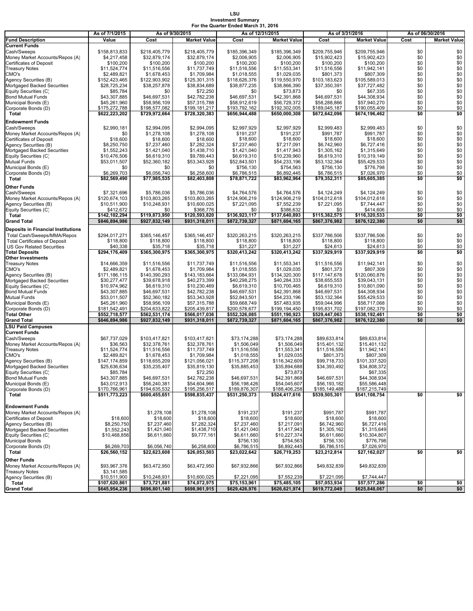# **LSU Investment Summary For the Quarter Ended March 31, 2016**

|                                                                   | As of 7/1/2015                 | As of 9/30/2015                |                                | As of 12/31/2015               |                                |                                | As of 3/31/2016                | As of 06/30/2016 |                              |
|-------------------------------------------------------------------|--------------------------------|--------------------------------|--------------------------------|--------------------------------|--------------------------------|--------------------------------|--------------------------------|------------------|------------------------------|
| <b>Fund Description</b>                                           | Value                          | Cost                           | <b>Market Value</b>            | Cost                           | <b>Market Value</b>            | Cost                           | <b>Market Value</b>            | Cost             | <b>Market Value</b>          |
| <b>Current Funds</b>                                              |                                |                                |                                |                                |                                |                                |                                |                  |                              |
| Cash/Sweeps                                                       | \$158,813,833                  | \$218,405,779                  | \$218,405,779                  | \$185,396,349                  | \$185,396,349                  | \$209.755.946                  | \$209,755,946                  | \$0              | \$0                          |
| Money Market Accounts/Repos (A)<br><b>Certificates of Deposit</b> | \$4,217,458<br>\$100,200       | \$32,879,174<br>\$100,200      | \$32,879,174<br>\$100,200      | \$2,006,905<br>\$100,200       | \$2,006,905<br>\$100,200       | \$15,902,423<br>\$100,200      | \$15,902,423<br>\$100,200      | \$0<br>\$0       | \$0<br>\$0                   |
| <b>Treasury Notes</b>                                             | \$11,524,774                   | \$11,516,556                   | \$11,737,749                   | \$11,516,556                   | \$11,553,341                   | \$11,516,556                   | \$11,942,141                   | \$0              | \$0                          |
| CMO's                                                             | \$2,489,821                    | \$1,678,453                    | \$1,709,984                    | \$1,018,555                    | \$1,029,035                    | \$801,373                      | \$807,309                      | \$0              | \$0                          |
| Agency Securities (B)                                             | \$152,423,465                  | \$122,903,902                  | \$125,301,315                  | \$118,626,376                  | \$119,550,970                  | \$103,183,623                  | \$105,589,013                  | \$0              | $\overline{\$0}$             |
| Mortgaged Backed Securities                                       | \$28,725,234                   | \$38,257,878                   | \$38,834,689                   | \$38,877,235                   | \$38,866,390                   | \$37,350,391                   | \$37,727,482                   | \$0              | \$0                          |
| Equity Securities (C)                                             | \$85,784                       | \$0                            | \$72,250                       | \$0                            | \$73,873                       | \$0                            | \$67,335                       | \$0              | \$0<br>\$0                   |
| <b>Bond Mutual Funds</b><br>Municipal Bonds (E)                   | \$43,307,885<br>\$45,261,960   | \$46,697,531<br>\$58,956,109   | \$42,782,238<br>\$57,315,788   | \$46,697,531<br>\$58,912,619   | \$42,391,868<br>\$56,729,372   | \$46,697,531<br>\$58,288,866   | \$44,308,934<br>\$57,940,270   | \$0<br>\$0       | \$0                          |
| Corporate Bonds (D)                                               | \$175,272,788                  | \$198,577,082                  | \$199,181,217                  | \$193,792,162                  | \$192,302,005                  | \$189,045,187                  | \$190,055,409                  | \$0              | \$0                          |
| Total                                                             | \$622,223,202                  | \$729,972,664                  | \$728,320,383                  | \$656,944,488                  | \$650,000,308                  | \$672,642,096                  | \$674,196,462                  | \$0              | \$0                          |
| <b>Endowment Funds</b>                                            |                                |                                |                                |                                |                                |                                |                                |                  |                              |
| Cash/Sweeps                                                       | \$2,990,181                    | \$2,994,095                    | \$2,994,095                    | \$2,997,929                    | \$2,997,929                    | \$2,999,483                    | \$2,999,483                    | \$0              | \$0                          |
| Money Market Accounts/Repos (A)                                   | \$0                            | \$1,278,108                    | \$1,278,108                    | \$191,237                      | \$191,237                      | \$991,787                      | \$991.787                      | \$0              | \$0                          |
| <b>Certificates of Deposit</b>                                    | \$18,600                       | \$18,600                       | \$18,600                       | \$18,600                       | \$18,600                       | \$18,600                       | \$18,600                       | \$0              | $$0$<br>$$0$<br>$$0$<br>$$0$ |
| Agency Securities (B)<br>Mortgaged Backed Securities              | \$8,250,750<br>\$1,552,243     | \$7,237,460<br>\$1,421,040     | \$7,282,324<br>\$1,438,710     | \$7,237,460<br>\$1,421,040     | \$7,217,091<br>\$1,417,943     | \$6,742,960<br>\$1,305,162     | \$6,727,416<br>\$1,315,649     | \$0<br>\$0       |                              |
| Equity Securities (C)                                             | \$10,476,506                   | \$6,619,310                    | \$9,789,443                    | \$6,619,310                    | \$10,239,960                   | \$6,619,310                    | \$10,319,149                   | \$0              | \$0                          |
| <b>Mutual Funds</b>                                               | \$53,011,507                   | \$52,360,182                   | \$53,343,928                   | \$52,843,501                   | \$54,233,196                   | \$53,132,364                   | \$55,429,533                   | \$0              | \$0                          |
| Municipal Bonds (E)                                               | \$0                            | \$0                            | \$0                            | \$756,130                      | \$754,563                      | \$756,130                      | \$776,798                      | \$0              | \$0                          |
| Corporate Bonds (D)                                               | \$6,269,703                    | \$6,056,740                    | \$6,258,600                    | \$6,786,515                    | \$6,892,445                    | \$6,786,515                    | \$7,026,970                    | \$0              | \$0                          |
| Total                                                             | \$82.569.490                   | \$77,985,535                   | \$82,403,808                   | \$78,871,722                   | \$83,962,964                   | \$79,352,311                   | \$85,605,385                   | \$0              | \$0                          |
| Other Funds                                                       |                                |                                |                                |                                |                                |                                |                                |                  |                              |
| Cash/Sweeps<br>Money Market Accounts/Repos (A)                    | \$7,321,696<br>\$120,674,103   | \$5,786,036<br>\$103,803,265   | \$5,786,036<br>\$103,803,265   | \$4,764,576<br>\$124,906,219   | \$4,764,576<br>\$124,906,219   | \$4.124.249<br>\$104,012,618   | \$4.124.249<br>\$104,012,618   | \$0<br>\$0       | \$0<br>\$0                   |
| Agency Securities (B)                                             | \$10,511,900                   | \$10,248,931                   | \$10,600,025                   | \$7,221,095                    | \$7,552,239                    | \$7,221,095                    | \$7,744,447                    | \$0              | \$0                          |
| Equity Securities (C)                                             | \$412,672                      | \$0                            | \$368,776                      | \$0                            | \$386,632                      | \$0                            | \$414,606                      | \$0              | \$0                          |
| Total                                                             | \$142,102,294                  | \$119,873,950                  | \$120,593,820                  | \$136,923,117                  | \$137,640,893                  | \$115,382,575                  | \$116,320,533                  | \$0              | \$0                          |
| <b>Grand Total</b>                                                | \$846,894,986                  | \$927,832,149                  | \$931,318,011                  | \$872,739,327                  | \$871,604,165                  | \$867,376,982                  | \$876,122,380                  | \$0              | \$0                          |
| <b>Deposits in Financial Institutions</b>                         |                                |                                |                                |                                |                                |                                |                                |                  |                              |
| Total Cash/Sweeps/MMA/Repos                                       | \$294.017.271                  | \$365,146,457                  | \$365,146,457                  | \$320.263.215                  | \$320,263,215                  | \$337,786,506                  | \$337,786,506                  | \$0              | \$0                          |
| <b>Total Certificates of Deposit</b>                              | \$118,800                      | \$118,800                      | \$118,800                      | \$118,800                      | \$118,800                      | \$118,800                      | \$118,800                      | \$0              | \$0                          |
| <b>US Gov Related Securities</b><br><b>Total Deposits</b>         | \$40,338<br>\$294,176,409      | \$35,718<br>\$365,300,975      | \$35,718<br>\$365,300,975      | \$31,227<br>\$320,413,242      | \$31,227<br>\$320,413,242      | \$24,613<br>\$337,929,919      | \$24,613<br>\$337,929,919      | \$0<br>\$0       | \$0<br>\$0                   |
| <b>Other Investments</b>                                          |                                |                                |                                |                                |                                |                                |                                |                  |                              |
| <b>Treasury Notes</b>                                             | \$14,666,359                   | \$11,516,556                   | \$11,737,749                   | \$11,516,556                   | \$11,553,341                   | \$11,516,556                   | \$11,942,141                   | \$0              | \$0                          |
| CMO's                                                             | \$2,489,821                    | \$1,678,453                    | \$1,709,984                    | \$1,018,555                    | \$1,029,035                    | \$801,373                      | \$807,309                      | \$0              | \$0                          |
| Agency Securities (B)                                             | \$171,186,115                  | \$140,390,293<br>\$39,678,918  | \$143,183,664                  | \$133,084,931<br>\$40,298,275  | \$134,320,300<br>\$40,284,333  | \$117,147,678<br>\$38,655,553  | \$120,060,876<br>\$39,043,131  | \$0<br>\$0       | \$0<br>\$0                   |
| Mortgaged Backed Securities<br>Equity Securities (C)              | \$30,277,477<br>\$10,974,962   | \$6,619,310                    | \$40,273,399<br>\$10,230,469   | \$6,619,310                    | \$10,700,465                   | \$6,619,310                    | \$10,801,090                   | \$0              | \$0                          |
| <b>Bond Mutual Funds</b>                                          | \$43,307,885                   | \$46,697,531                   | \$42,782,238                   | \$46,697,531                   | \$42,391,868                   | \$46,697,531                   | \$44,308,934                   | \$0              | \$0                          |
| <b>Mutual Funds</b>                                               | \$53,011,507                   | \$52,360,182                   | \$53,343,928                   | \$52,843,501                   | \$54,233,196                   | \$53,132,364                   | \$55,429,533                   | \$0              | $\overline{50}$              |
| Municipal Bonds (E)                                               | \$45,261,960                   | \$58,956,109                   | \$57,315,788                   | \$59,668,749                   | \$57,483,935                   | \$59,044,996                   | \$58,717,068                   | \$0              | $\$0$                        |
| Corporate Bonds (D)                                               | \$181,542,491                  | \$204,633,822                  | \$205,439,817                  | \$200,578,677                  | \$199,194,450                  | \$195,831,702                  | \$197,082,379                  | \$0              | \$0                          |
| <b>Total Other</b><br><b>Grand Total</b>                          | \$552,718,577<br>\$846,894,986 | \$562,531,174<br>\$927,832,149 | \$566,017,036<br>\$931,318,011 | \$552,326,085<br>\$872,739,327 | \$551,190,923<br>\$871,604,165 | \$529,447,063<br>\$867,376,982 | \$538,192,461<br>\$876,122,380 | \$0<br>\$0       | \$0<br>\$0                   |
| <b>LSU Paid Campuses</b>                                          |                                |                                |                                |                                |                                |                                |                                |                  |                              |
| <b>Current Funds</b>                                              |                                |                                |                                |                                |                                |                                |                                |                  |                              |
| Cash/Sweeps                                                       | \$67,737,029                   | \$103,417,821                  | \$103,417,821                  | \$73.174.288                   | \$73,174,288                   | \$89,633,814                   | \$89,633,814                   |                  |                              |
| Money Market Accounts/Repos (A)                                   | \$36,563                       | \$32,378,761                   | \$32,378,761                   | \$1,506,049                    | \$1,506,049                    | \$15,401,132                   | \$15,401,132                   |                  |                              |
| <b>Treasury Notes</b><br>CMO's                                    | \$11,524,774<br>\$2,489,821    | \$11,516,556<br>\$1,678,453    | \$11,737,749<br>\$1,709,984    | \$11,516,556<br>\$1,018,555    | \$11,553,341<br>\$1,029,035    | \$11,516,556<br>\$801,373      | \$11,942,141<br>\$807,309      |                  |                              |
| Agency Securities (B)                                             | \$147,174,859                  | \$118,655,209                  | \$121,056,021                  | \$115,377,208                  | \$116,342,609                  | \$99,718,733                   | \$101,337,520                  |                  |                              |
| Mortgaged Backed Securities                                       | \$25,636,634                   | \$35,235,407                   | \$35,819,130                   | \$35,885,453                   | \$35,894,688                   | \$34,393,492                   | \$34,808,372                   |                  |                              |
| Equity Securities (C)                                             | \$85,784                       |                                | \$72,250                       |                                | \$73,873                       |                                | \$67,335                       |                  |                              |
| <b>Bond Mutual Funds</b>                                          | \$43,307,885                   | \$46,697,531                   | \$42,782,238                   | \$46,697,531                   | \$42,391,868                   | \$46,697,531                   | \$44,308,934                   |                  |                              |
| Municipal Bonds (E)<br>Corporate Bonds (D)                        | \$43,012,913<br>\$170,766,961  | \$56,240,381<br>\$194,635,532  | \$54,604,966<br>\$195,256,517  | \$56,198,426<br>\$189,876,307  | \$54,045,607<br>\$188,406,258  | \$56,193,182<br>\$185,149,488  | \$55,586,448<br>\$187,215,749  |                  |                              |
| Total                                                             | \$511,773,223                  | \$600,455,651                  | \$598,835,437                  | \$531,250,373                  | \$524,417,616                  | \$539,505,301                  | \$541,108,754                  | \$0              | \$0                          |
|                                                                   |                                |                                |                                |                                |                                |                                |                                |                  |                              |
| <b>Endowment Funds</b>                                            |                                |                                |                                |                                |                                |                                |                                |                  |                              |
| Money Market Accounts/Repos (A)                                   |                                | \$1,278,108                    | \$1,278,108                    | \$191,237                      | \$191,237                      | \$991,787                      | \$991,787                      |                  |                              |
| <b>Certificates of Deposit</b><br>Agency Securities (B)           | \$18,600<br>\$8,250,750        | \$18,600<br>\$7,237,460        | \$18,600<br>\$7,282,324        | \$18,600<br>\$7,237,460        | \$18,600<br>\$7,217,091        | \$18,600<br>\$6,742,960        | \$18,600<br>\$6,727,416        |                  |                              |
| Mortgaged Backed Securities                                       | \$1,552,243                    | \$1,421,040                    | \$1,438,710                    | \$1,421,040                    | \$1,417,943                    | \$1,305,162                    | \$1,315,649                    |                  |                              |
| Equity Securities (C)                                             | \$10,468,856                   | \$6,611,660                    | \$9,777,161                    | \$6,611,660                    | \$10,227,374                   | \$6,611,660                    | \$10,304,807                   |                  |                              |
| <b>Municipal Bonds</b>                                            |                                |                                |                                | \$756,130                      | \$754,563                      | \$756,130                      | \$776,798                      |                  |                              |
| Corporate Bonds (D)                                               | \$6.269.703                    | \$6,056,740                    | \$6,258,600                    | \$6,786,515                    | \$6,892,445                    | \$6,786,515                    | \$7,026,970                    |                  |                              |
| Total                                                             | \$26,560,152                   | \$22,623,608                   | \$26,053,503                   | \$23,022,642                   | \$26,719,253                   | \$23,212,814                   | \$27,162,027                   | \$0              | \$0                          |
| Other Funds<br>Money Market Accounts/Repos (A)                    | \$93,967,376                   | \$63,472,950                   | \$63,472,950                   | \$67,932,866                   | \$67,932,866                   | \$49,832,839                   | \$49,832,839                   |                  |                              |
| <b>Treasury Notes</b>                                             | \$3,141,585                    |                                |                                |                                |                                |                                |                                |                  |                              |
| Agency Securities (B)                                             | \$10,511,900                   | \$10,248,931                   | \$10,600,025                   | \$7,221,095                    | \$7,552,239                    | \$7,221,095                    | \$7,744,447                    |                  |                              |
| Total                                                             | \$107,620,861                  | \$73,721,881                   | \$74,072,975                   | \$75,153,961                   | \$75,485,105                   | \$57,053,934                   | \$57,577,286                   | \$0              | \$0                          |
| <b>Grand Total</b>                                                | \$645,954,236                  | \$696,801,140                  | \$698,961,915                  | \$629,426,976                  | \$626,621,974                  | \$619,772,049                  | \$625,848,067                  | \$0              | \$0                          |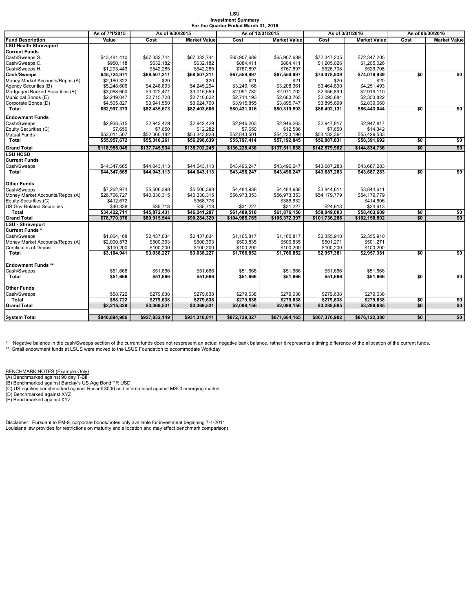#### **LSU Investment Summary For the Quarter Ended March 31, 2016**

|                                 | As of 7/1/2015 | As of 9/30/2015 |                     |               | As of 12/31/2015    | As of 3/31/2016 |                     | As of 06/30/2016 |                     |  |
|---------------------------------|----------------|-----------------|---------------------|---------------|---------------------|-----------------|---------------------|------------------|---------------------|--|
| <b>Fund Description</b>         | Value          | Cost            | <b>Market Value</b> | Cost          | <b>Market Value</b> | Cost            | <b>Market Value</b> | Cost             | <b>Market Value</b> |  |
| LSU Health Shreveport           |                |                 |                     |               |                     |                 |                     |                  |                     |  |
| <b>Current Funds</b>            |                |                 |                     |               |                     |                 |                     |                  |                     |  |
| Cash/Sweeps S.                  | \$43,481,410   | \$67,332,744    | \$67,332,744        | \$65,907,689  | \$65,907,689        | \$72,347,205    | \$72,347,205        |                  |                     |  |
| Cash/Sweeps C.                  | \$950,118      | \$632,182       | \$632,182           | \$884,411     | \$884,411           | \$1,205,026     | \$1,205,026         |                  |                     |  |
| Cash/Sweeps H.                  | \$1,293,443    | \$542,285       | \$542,285           | \$767,897     | \$767,897           | \$526,708       | \$526,708           |                  |                     |  |
| <b>Cash/Sweeps</b>              | \$45,724,971   | \$68,507,211    | \$68,507,211        | \$67,559,997  | \$67,559,997        | \$74,078,939    | \$74,078,939        | \$0              | \$0                 |  |
| Money Market Accounts/Repos (A) | \$2,180,322    | \$20            | \$20                | \$21          | \$21                | \$20            | \$20                |                  |                     |  |
| Agency Securities (B)           | \$5,248,606    | \$4,248,693     | \$4,245,294         | \$3,249,168   | \$3,208,361         | \$3,464,890     | \$4,251,493         |                  |                     |  |
| Mortgaged Backed Securities (B) | \$3,088,600    | \$3,022,471     | \$3,015,559         | \$2,991,782   | \$2,971,702         | \$2,956,899     | \$2,919,110         |                  |                     |  |
| Municipal Bonds (E)             | \$2,249,047    | \$2,715,728     | \$2,710,822         | \$2,714,193   | \$2,683,765         | \$2,095,684     | \$2,353,822         |                  |                     |  |
| Corporate Bonds (D)             | \$4,505,827    | \$3,941,550     | \$3,924,700         | \$3,915,855   | \$3,895,747         | \$3,895,699     | \$2,839,660         |                  |                     |  |
| Total                           | \$62,997,373   | \$82,435,673    | \$82,403,606        | \$80,431,016  | \$80,319,593        | \$86,492,131    | \$86,443,044        | \$0              | \$0                 |  |
| <b>Endowment Funds</b>          |                |                 |                     |               |                     |                 |                     |                  |                     |  |
| Cash/Sweeps                     | \$2,938,515    | \$2,942,429     | \$2.942.429         | \$2,946,263   | \$2,946,263         | \$2,947,817     | \$2.947.817         |                  |                     |  |
| Equity Securities (C)           | \$7,650        | \$7,650         | \$12,282            | \$7,650       | \$12,586            | \$7,650         | \$14,342            |                  |                     |  |
| Mutual Funds                    | \$53,011,507   | \$52,360,182    | \$53,343,928        | \$52,843,501  | \$54,233,196        | \$53,132,364    | \$55,429,533        |                  |                     |  |
| Total                           | \$55,957.672   | \$55.310.261    | \$56,298,639        | \$55.797.414  | \$57.192.045        | \$56.087.831    | \$58,391,692        | \$0              | \$0                 |  |
| <b>Grand Total</b>              | \$118,955,045  | \$137,745,934   | \$138,702,245       | \$136,228,430 | \$137,511,638       | \$142,579,962   | \$144,834,736       | \$0              | \$0                 |  |
| <b>LSU HCSD</b>                 |                |                 |                     |               |                     |                 |                     |                  |                     |  |
| <b>Current Funds</b>            |                |                 |                     |               |                     |                 |                     |                  |                     |  |
| Cash/Sweeps                     | \$44,347,665   | \$44,043,113    | \$44,043,113        | \$43,496,247  | \$43,496,247        | \$43,687,283    | \$43,687,283        |                  |                     |  |
| Total                           | \$44,347,665   | \$44.043.113    | \$44,043,113        | \$43,496,247  | \$43,496,247        | \$43,687,283    | \$43,687,283        | \$0              | \$0                 |  |
|                                 |                |                 |                     |               |                     |                 |                     |                  |                     |  |
| Other Funds                     |                |                 |                     |               |                     |                 |                     |                  |                     |  |
| Cash/Sweeps                     | \$7.262.974    | \$5,506,398     | \$5,506,398         | \$4,484,938   | \$4.484.938         | \$3.844.611     | \$3.844.611         |                  |                     |  |
| Money Market Accounts/Repos (A) | \$26,706,727   | \$40,330,315    | \$40,330,315        | \$56,973,353  | \$56,973,353        | \$54,179,779    | \$54,179,779        |                  |                     |  |
| Equity Securities (C)           | \$412,672      |                 | \$368,776           |               | \$386,632           |                 | \$414,606           |                  |                     |  |
| US Gov Related Securities       | \$40,338       | \$35,718        | \$35,718            | \$31,227      | \$31,227            | \$24,613        | \$24,613            |                  |                     |  |
| Total                           | \$34,422,711   | \$45,872,431    | \$46,241,207        | \$61.489.518  | \$61.876.150        | \$58.049.003    | \$58,463,609        | \$0              | \$0                 |  |
| <b>Grand Total</b>              | \$78,770,376   | \$89.915.544    | \$90.284.320        | \$104.985.765 | \$105.372.397       | \$101.736.286   | \$102.150.892       | \$0              | \$0                 |  |
| LSU - Shreveport                |                |                 |                     |               |                     |                 |                     |                  |                     |  |
| Current Funds *                 |                |                 |                     |               |                     |                 |                     |                  |                     |  |
| Cash/Sweeps                     | \$1,004,168    | \$2,437,634     | \$2,437,634         | \$1,165,817   | \$1,165,817         | \$2,355,910     | \$2,355,910         |                  |                     |  |
| Money Market Accounts/Repos (A) | \$2,000,573    | \$500.393       | \$500,393           | \$500,835     | \$500,835           | \$501,271       | \$501.271           |                  |                     |  |
| Certificates of Deposit         | \$100,200      | \$100,200       | \$100,200           | \$100,200     | \$100,200           | \$100,200       | \$100,200           |                  |                     |  |
| Total                           | \$3,104,941    | \$3,038,227     | \$3,038,227         | \$1,766,852   | \$1,766,852         | \$2,957,381     | \$2,957,381         | \$0              | \$0                 |  |
|                                 |                |                 |                     |               |                     |                 |                     |                  |                     |  |
| <b>Endowment Funds **</b>       |                |                 |                     |               |                     |                 |                     |                  |                     |  |
| Cash/Sweeps                     | \$51,666       | \$51,666        | \$51,666            | \$51,666      | \$51,666            | \$51,666        | \$51,666            |                  |                     |  |
| Total                           | \$51.666       | \$51.666        | \$51.666            | \$51.666      | \$51.666            | \$51.666        | \$51.666            | \$0              | \$0                 |  |
|                                 |                |                 |                     |               |                     |                 |                     |                  |                     |  |
| Other Funds                     |                |                 |                     |               |                     |                 |                     |                  |                     |  |
| Cash/Sweeps                     | \$58,722       | \$279,638       | \$279,638           | \$279,638     | \$279,638           | \$279,638       | \$279,638           |                  |                     |  |
| Total                           | \$58,722       | \$279,638       | \$279,638           | \$279,638     | \$279,638           | \$279,638       | \$279,638           | \$0              | \$0                 |  |
| <b>Grand Total</b>              | \$3,215,329    | \$3,369,531     | \$3,369,531         | \$2,098,156   | \$2,098,156         | \$3,288,685     | \$3,288,685         | \$0              | \$0                 |  |
| <b>System Total</b>             | \$846,894,986  | \$927,832,149   | \$931,318,011       | \$872,739,327 | \$871,604,165       | \$867,376,982   | \$876,122,380       | \$0              | \$0                 |  |
|                                 |                |                 |                     |               |                     |                 |                     |                  |                     |  |

\* Negative balance in the cash/Sweeps section of the current funds does not respresent an actual negative bank balance, rather it represents a timing difference of the allocation of the current funds.<br>\*\* Small endowment fu

<u>BENCHMARK NOTES (Example Only)</u><br>(A) Benchmarked against 90 day T-Bil<br>(B) Benchmarked against Barclay's US Agg Bond TR USD

(C) US equities benchmarked against Russell 3000 and international against MSCI emerging market (D) Benchmarked against XYZ (E) Benchmarked against XYZ

Disclaimer: Pursuant to PM-9, corporate bonds/notes only available for investment beginning 7-1-2011 Louisiana law provides for restrictions on maturity and allocation and may effect benchmark comparisons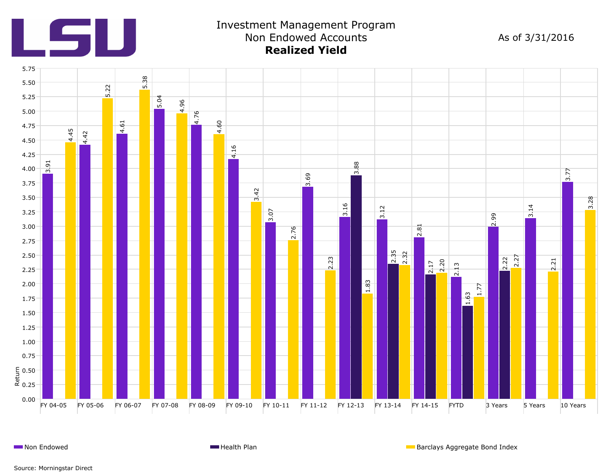

### Investment Management Program Non Endowed Accounts As of 3/31/2016 **Realized Yield**



**Non Endowed Health Plan** Barclays Aggregate Bond Index **Health Plan** Barclays Aggregate Bond Index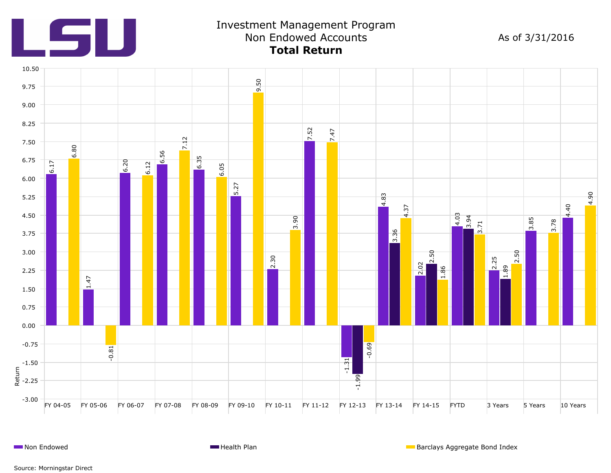

## Investment Management Program Non Endowed Accounts **Total Return**

As of 3/31/2016



**Non Endowed Health Plan** Barclays Aggregate Bond Index **Health Plan** Barclays Aggregate Bond Index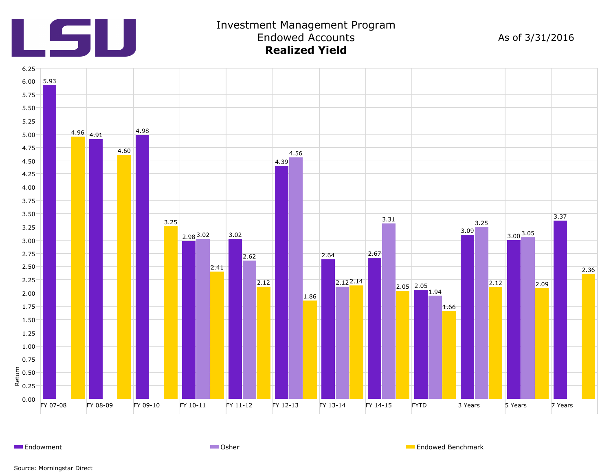

#### Investment Management Program Endowed Accounts **Realized Yield**

As of 3/31/2016



Endowment **Endowed Benchmark** Communication Communication Communication Communication Communication Communication Communication Communication Communication Communication Communication Communication Communication Communicat